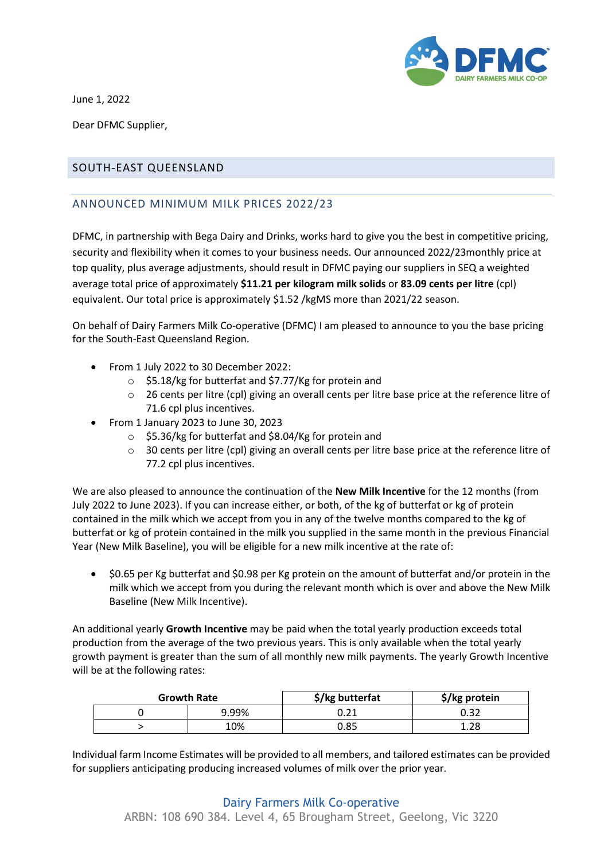

June 1, 2022

Dear DFMC Supplier,

## SOUTH-EAST QUEENSLAND

## ANNOUNCED MINIMUM MILK PRICES 2022/23

DFMC, in partnership with Bega Dairy and Drinks, works hard to give you the best in competitive pricing, security and flexibility when it comes to your business needs. Our announced 2022/23monthly price at top quality, plus average adjustments, should result in DFMC paying our suppliers in SEQ a weighted average total price of approximately **\$11.21 per kilogram milk solids** or **83.09 cents per litre** (cpl) equivalent. Our total price is approximately \$1.52 /kgMS more than 2021/22 season.

On behalf of Dairy Farmers Milk Co-operative (DFMC) I am pleased to announce to you the base pricing for the South-East Queensland Region.

- From 1 July 2022 to 30 December 2022:
	- o \$5.18/kg for butterfat and \$7.77/Kg for protein and
	- $\circ$  26 cents per litre (cpl) giving an overall cents per litre base price at the reference litre of 71.6 cpl plus incentives.
- From 1 January 2023 to June 30, 2023
	- o \$5.36/kg for butterfat and \$8.04/Kg for protein and
	- $\circ$  30 cents per litre (cpl) giving an overall cents per litre base price at the reference litre of 77.2 cpl plus incentives.

We are also pleased to announce the continuation of the **New Milk Incentive** for the 12 months (from July 2022 to June 2023). If you can increase either, or both, of the kg of butterfat or kg of protein contained in the milk which we accept from you in any of the twelve months compared to the kg of butterfat or kg of protein contained in the milk you supplied in the same month in the previous Financial Year (New Milk Baseline), you will be eligible for a new milk incentive at the rate of:

• \$0.65 per Kg butterfat and \$0.98 per Kg protein on the amount of butterfat and/or protein in the milk which we accept from you during the relevant month which is over and above the New Milk Baseline (New Milk Incentive).

An additional yearly **Growth Incentive** may be paid when the total yearly production exceeds total production from the average of the two previous years. This is only available when the total yearly growth payment is greater than the sum of all monthly new milk payments. The yearly Growth Incentive will be at the following rates:

| <b>Growth Rate</b> |       | \$/kg butterfat | \$/kg protein |
|--------------------|-------|-----------------|---------------|
|                    | 9.99% |                 | 0.32          |
|                    | 10%   | 0.85            | 1.28          |

Individual farm Income Estimates will be provided to all members, and tailored estimates can be provided for suppliers anticipating producing increased volumes of milk over the prior year.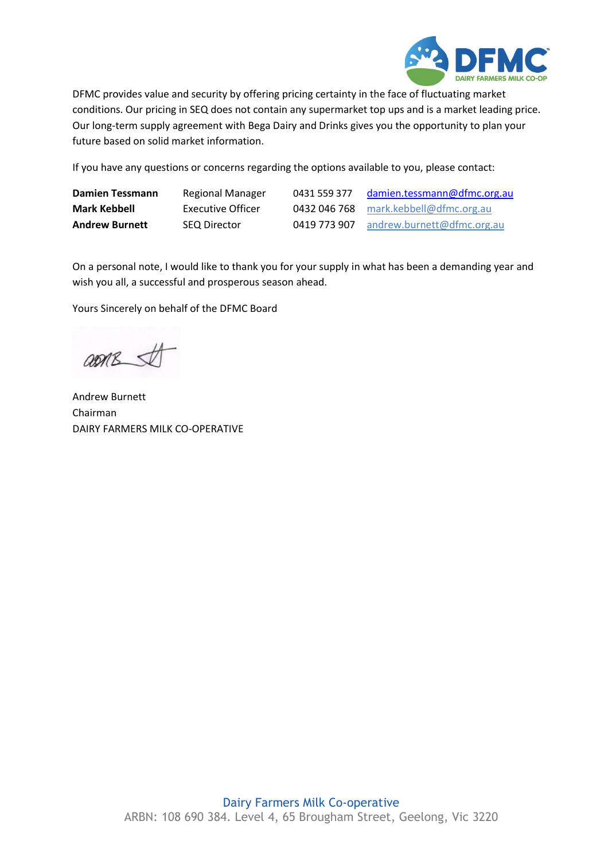

DFMC provides value and security by offering pricing certainty in the face of fluctuating market conditions. Our pricing in SEQ does not contain any supermarket top ups and is a market leading price. Our long-term supply agreement with Bega Dairy and Drinks gives you the opportunity to plan your future based on solid market information.

If you have any questions or concerns regarding the options available to you, please contact:

| <b>Damien Tessmann</b> | Regional Manager    | 0431 559 377 | damien.tessmann@dfmc.org.au |
|------------------------|---------------------|--------------|-----------------------------|
| Mark Kebbell           | Executive Officer   | 0432 046 768 | mark.kebbell@dfmc.org.au    |
| <b>Andrew Burnett</b>  | <b>SEQ Director</b> | 0419 773 907 | andrew.burnett@dfmc.org.au  |

On a personal note, I would like to thank you for your supply in what has been a demanding year and wish you all, a successful and prosperous season ahead.

Yours Sincerely on behalf of the DFMC Board

asmes

Andrew Burnett Chairman DAIRY FARMERS MILK CO-OPERATIVE